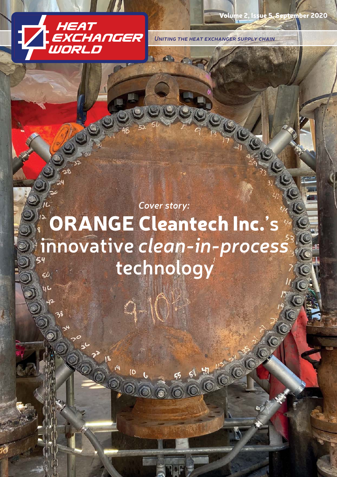

Volume 2, Issue 5, September 2020

*Uniting the heat exchanger supply chain*

10

*Cover story:* ORANGE Cleantech Inc.**'s innovative** *clean-in-process* **technology**   $\leq$ 

10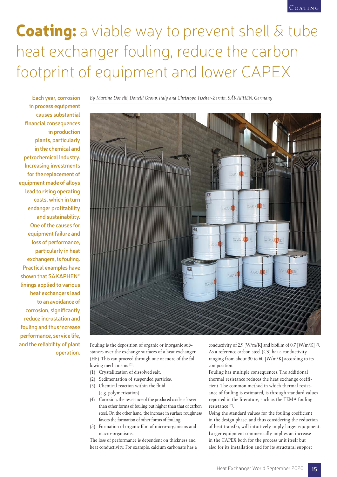## **Coating:** a viable way to prevent shell & tube heat exchanger fouling, reduce the carbon footprint of equipment and lower CAPEX

**Each year, corrosion in process equipment causes substantial financial consequences in production plants, particularly in the chemical and petrochemical industry. Increasing investments for the replacement of equipment made of alloys lead to rising operating costs, which in turn endanger profitability and sustainability. One of the causes for equipment failure and loss of performance, particularly in heat exchangers, is fouling. Practical examples have shown that SÄKAPHEN® linings applied to various heat exchangers lead to an avoidance of corrosion, significantly reduce incrustation and fouling and thus increase performance, service life, and the reliability of plant operation.**

*By Martino Donelli, Donelli Group, Italy and Christoph Fischer-Zernin, SÄKAPHEN, Germany*



Fouling is the deposition of organic or inorganic substances over the exchange surfaces of a heat exchanger (HE). This can proceed through one or more of the following mechanisms<sup>[2]</sup>:

- (1) Crystallization of dissolved salt.
- (2) Sedimentation of suspended particles.
- (3) Chemical reaction within the fluid (e.g. polymerization).
- (4) Corrosion, the resistance of the produced oxide is lower than other forms of fouling but higher than that of carbon steel. On the other hand, the increase in surface roughness favors the formation of other forms of fouling.
- (5) Formation of organic film of micro-organisms and macro-organisms.

The loss of performance is dependent on thickness and heat conductivity. For example, calcium carbonate has a conductivity of 2.9 [W/m/K] and biofilm of 0.7  $\text{[W/m/K]}$  [2]. As a reference carbon steel (CS) has a conductivity ranging from about 30 to 60 [W/m/K] according to its composition.

Fouling has multiple consequences. The additional thermal resistance reduces the heat exchange coefficient. The common method in which thermal resistance of fouling is estimated, is through standard values reported in the literature, such as the TEMA fouling resistance [2].

Using the standard values for the fouling coefficient in the design phase, and thus considering the reduction of heat transfer, will intuitively imply larger equipment. Larger equipment commercially implies an increase in the CAPEX both for the process unit itself but also for its installation and for its structural support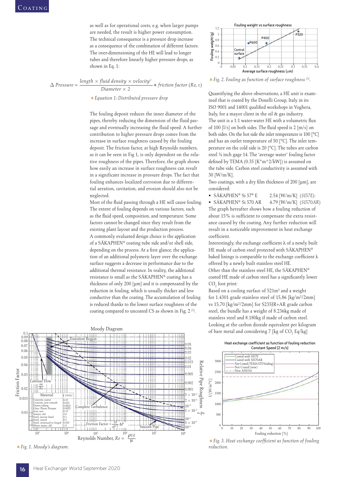as well as for operational costs, e.g. when larger pumps are needed, the result is higher power consumption. The technical consequence is a pressure drop increase as a consequence of the combination of different factors. The over-dimensioning of the HE will lead to longer tubes and therefore linearly higher pressure drops, as shown in Eq. 1:

 $\Delta$  *Pressure* =  $\frac{length \times fluid \ density \times velocity^2}{Diameter \times 2}$  \* friction factor (Re, ε)

»*Equation 1: Distributed pressure drop*

The fouling deposit reduces the inner diameter of the pipes, thereby reducing the dimension of the fluid passage and eventually increasing the fluid speed. A further contribution to higher pressure drops comes from the increase in surface roughness caused by the fouling deposit. The friction factor, at high Reynolds numbers, as it can be seen in Fig 1, is only dependent on the relative roughness of the pipes. Therefore, the graph shows how easily an increase in surface roughness can result in a significant increase in pressure drops. The fact that fouling enhances localized corrosion due to differential aeration, cavitation, and erosion should also not be neglected.

Most of the fluid passing through a HE will cause fouling. The extent of fouling depends on various factors, such as the fluid speed, composition, and temperature. Some factors cannot be changed since they result from the existing plant layout and the production process. A commonly evaluated design choice is the application of a SÄKAPHEN® coating tube side and/or shell side, depending on the process. At a first glance, the application of an additional polymeric layer over the exchange surface suggests a decrease in performance due to the additional thermal resistance. In reality, the additional resistance is small as the SÄKAPHEN® coating has a thickness of only 200 [µm] and it is compensated by the reduction in fouling, which is usually thicker and less conductive than the coating. The accumulation of fouling is reduced thanks to the lower surface roughness of the coating compared to uncoated CS as shown in Fig. 2 [1].



»*Fig. 1. Moody's diagram.*



»*Fig. 2. Fouling as function of surface roughness [1].*

Quantifying the above observations, a HE unit is examined that is coated by the Donelli Group, Italy in its ISO 9001 and 14001 qualified workshops in Voghera, Italy, for a mayor client in the oil  $\&$  gas industry. The unit is a 1:1 water-water HE with a volumetric flux of 100  $[1/s]$  on both sides. The fluid speed is 2  $[m/s]$  on both sides. On the hot side the inlet temperature is 100 [°C] and has an outlet temperature of 50 [°C]. The inlet temperature on the cold side is 20 [°C]. The tubes are carbon steel ¾ inch gage 14. The 'average water' fouling factor defined by TEMA (0.35  $[K*m^2/kW]$ ) is assumed on the tube side. Carbon steel conductivity is assumed with 30 [W/m/K].

Two coatings, with a dry film thickness of 200  $\lceil \mu m \rceil$ , are considered:

• SÄKAPHEN® Si 57® E 2.54 [W/m/K] (*SI57E*): • SÄKAPHEN® Si 570 AR 4.79 [W/m/K] (*SI570AR*) The graph hereafter shows how a fouling reduction of about 15% is sufficient to compensate the extra resistance caused by the coating. Any further reduction will result in a noticeable improvement in heat exchange coefficient.

Interestingly, the exchange coefficient  $\lambda$  of a newly built HE made of carbon steel protected with SÄKAPHEN® baked linings is comparable to the exchange coefficient  $\lambda$ offered by a newly built stainless steel HE. Other than the stainless steel HE, the SÄKAPHEN® coated HE made of carbon steel has a significantly lower  $CO<sub>2</sub>$  foot print:

Based on a cooling surface of 521m² and a weight for 1.4301 grade stainless steel of 15,86 [kg/m²/2mm] vs 15,70 [kg/m²/2mm] for S235JR+AR grade carbon steel, the bundle has a weight of 8.236kg made of stainless steel and 8.180kg if made of carbon steel. Looking at the carbon dioxide equivalent per kilogram of bare metal and considering 7 [kg of  $CO<sub>2</sub>$  Eq/kg]

**Heat exchange coefficient as function of fouling reduction Constant Speed [2 m/s]**



**\*** Fig. 3. Heat exchange coefficient as function of fouling *reduction.*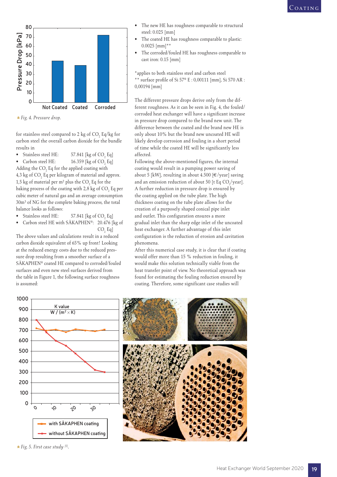



for stainless steel compared to 2 kg of  $\text{CO}_2$  Eq/kg for carbon steel the overall carbon dioxide for the bundle results in

• Stainless steel HE:  $57.841$  [kg of  $CO<sub>2</sub>$  Eq]

• Carbon steel HE:  $16.359$  [kg of  $CO<sub>2</sub>$  Eq] Adding the  $\text{CO}_2$  Eq for the applied coating with  $4.3$  kg of  $\mathrm{CO}_2$  Eq per kilogram of material and approx. 1,5 kg of material per m<sup>2</sup> plus the  $\text{CO}_2$  Eq for the baking process of the coating with 2,8 kg of  $\mathrm{CO}_2$  Eq per cubic meter of natural gas and an average consumption 30m³ of NG for the complete baking process, the total balance looks as follows:

- Stainless steel HE:  $57.841$  [kg of  $CO<sub>2</sub>$  Eq]
- Carbon steel HE with SÄKAPHEN®: 20.476 [kg of  $CO<sub>2</sub>$  $CO, Eq]$

The above values and calculations result in a reduced carbon dioxide equivalent of 65% up front! Looking at the reduced energy costs due to the reduced pressure drop resulting from a smoother surface of a SÄKAPHEN® coated HE compared to corroded/fouled surfaces and even new steel surfaces derived from the table in Figure 1, the following surface roughness is assumed:

- The new HE has roughness comparable to structural steel: 0.025 [mm]
- The coated HE has roughness comparable to plastic: 0.0025 [mm]\*\*
- The corroded/fouled HE has roughness comparable to cast iron: 0.15 [mm]

\*applies to both stainless steel and carbon steel \*\* surface profile of Si  $57^{\circ}$  E : 0,00111 [mm], Si  $570$  AR : 0,00194 [mm]

The different pressure drops derive only from the different roughness. As it can be seen in Fig. 4, the fouled/ corroded heat exchanger will have a significant increase in pressure drop compared to the brand new unit. The difference between the coated and the brand new HE is only about 10% but the brand new uncoated HE will likely develop corrosion and fouling in a short period of time while the coated HE will be significantly less affected.

Following the above-mentioned figures, the internal coating would result in a pumping power saving of about 5 [kW], resulting in about 4.500 [ $\in$ /year] saving and an emission reduction of about 50 [t Eq  $CO_2$ /year]. A further reduction in pressure drop is ensured by the coating applied on the tube plate. The high thickness coating on the tube plate allows for the creation of a purposely shaped conical pipe inlet and outlet. This configuration ensures a more gradual inlet than the sharp edge inlet of the uncoated heat exchanger. A further advantage of this inlet configuration is the reduction of erosion and cavitation phenomena.

After this numerical case study, it is clear that if coating would offer more than 15 % reduction in fouling, it would make this solution technically viable from the heat transfer point of view. No theoretical approach was found for estimating the fouling reduction ensured by coating. Therefore, some significant case studies will



»*Fig. 5. First case study [5].*